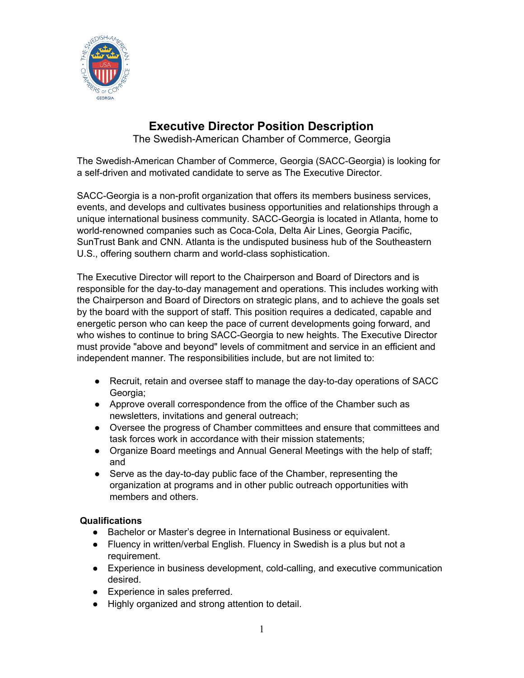

## **Executive Director Position Description**

The Swedish-American Chamber of Commerce, Georgia

The Swedish-American Chamber of Commerce, Georgia (SACC-Georgia) is looking for a self-driven and motivated candidate to serve as The Executive Director.

SACC-Georgia is a non-profit organization that offers its members business services, events, and develops and cultivates business opportunities and relationships through a unique international business community. SACC-Georgia is located in Atlanta, home to world-renowned companies such as Coca-Cola, Delta Air Lines, Georgia Pacific, SunTrust Bank and CNN. Atlanta is the undisputed business hub of the Southeastern U.S., offering southern charm and world-class sophistication.

The Executive Director will report to the Chairperson and Board of Directors and is responsible for the day-to-day management and operations. This includes working with the Chairperson and Board of Directors on strategic plans, and to achieve the goals set by the board with the support of staff. This position requires a dedicated, capable and energetic person who can keep the pace of current developments going forward, and who wishes to continue to bring SACC-Georgia to new heights. The Executive Director must provide "above and beyond" levels of commitment and service in an efficient and independent manner. The responsibilities include, but are not limited to:

- Recruit, retain and oversee staff to manage the day-to-day operations of SACC Georgia;
- Approve overall correspondence from the office of the Chamber such as newsletters, invitations and general outreach;
- Oversee the progress of Chamber committees and ensure that committees and task forces work in accordance with their mission statements;
- Organize Board meetings and Annual General Meetings with the help of staff; and
- Serve as the day-to-day public face of the Chamber, representing the organization at programs and in other public outreach opportunities with members and others.

## **Qualifications**

- Bachelor or Master's degree in International Business or equivalent.
- Fluency in written/verbal English. Fluency in Swedish is a plus but not a requirement.
- Experience in business development, cold-calling, and executive communication desired.
- Experience in sales preferred.
- Highly organized and strong attention to detail.